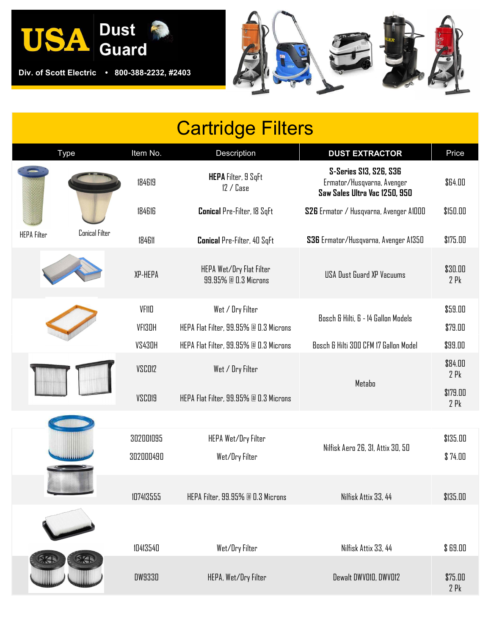

 **Div. of Scott Electric • 800-388-2232, #2403**



## Cartridge Filters

| <b>Type</b>        |                       | Item No.        | Description                                                | <b>DUST EXTRACTOR</b>                                                                 | Price              |
|--------------------|-----------------------|-----------------|------------------------------------------------------------|---------------------------------------------------------------------------------------|--------------------|
|                    |                       | 184619          | <b>HEPA</b> Filter, 9 SqFt<br>$12 / \text{Case}$           | S-Series S13, S26, S36<br>Ermator/Husqvarna, Avenger<br>Saw Sales Ultra Vac 1250, 950 | \$64.00            |
|                    |                       | 184616          | <b>Conical Pre-Filter, 18 SqFt</b>                         | S26 Ermator / Husqvarna, Avenger AIDOD                                                | \$150.00           |
| <b>HEPA Filter</b> | <b>Conical Filter</b> | 184611          | <b>Conical</b> Pre-Filter, 40 SqFt                         | S36 Ermator/Husqvarna, Avenger A1350                                                  | \$175.00           |
|                    |                       | ХР-НЕРА         | HEPA Wet/Dry Flat Filter<br>99.95% @ 0.3 Microns           | USA Dust Guard XP Vacuums                                                             | \$30.00<br>2Pk     |
|                    |                       | VF110<br>VF130H | Wet / Dry Filter<br>HEPA Flat Filter, 99.95% @ 0.3 Microns | Bosch & Hilti, 6 - 14 Gallon Models                                                   | \$59.00<br>\$79.00 |
|                    |                       | <b>VS430H</b>   | HEPA Flat Filter, 99.95% @ 0.3 Microns                     | Bosch & Hilti 300 CFM 17 Gallon Model                                                 | \$99.00            |
|                    |                       | VSCO12          | Wet / Dry Filter                                           | Metabo                                                                                | \$84.00<br>2Pk     |
|                    |                       | VSCO19          | HEPA Flat Filter, 99.95% @ 0.3 Microns                     |                                                                                       | \$179.00<br>2Pk    |
|                    |                       |                 |                                                            |                                                                                       |                    |
|                    |                       | 302001095       | HEPA Wet/Dry Filter                                        | Nilfisk Aero 26, 31, Attix 30, 50                                                     | \$135.00           |
|                    |                       | 302000490       | Wet/Dry Filter                                             |                                                                                       | \$74.00            |
|                    |                       |                 |                                                            |                                                                                       |                    |
|                    |                       | 107413555       | HEPA Filter, 99.95% @ 0.3 Microns                          | Nilfisk Attix 33, 44                                                                  | \$135.00           |
|                    |                       |                 |                                                            |                                                                                       |                    |
|                    |                       | 10413540        | Wet/Dry Filter                                             | Nilfisk Attix 33, 44                                                                  | \$69.00            |
|                    |                       | <b>DW9330</b>   | HEPA, Wet/Dry Filter                                       | Dewalt DWVDID, DWVDI2                                                                 | \$75.00<br>2Pk     |